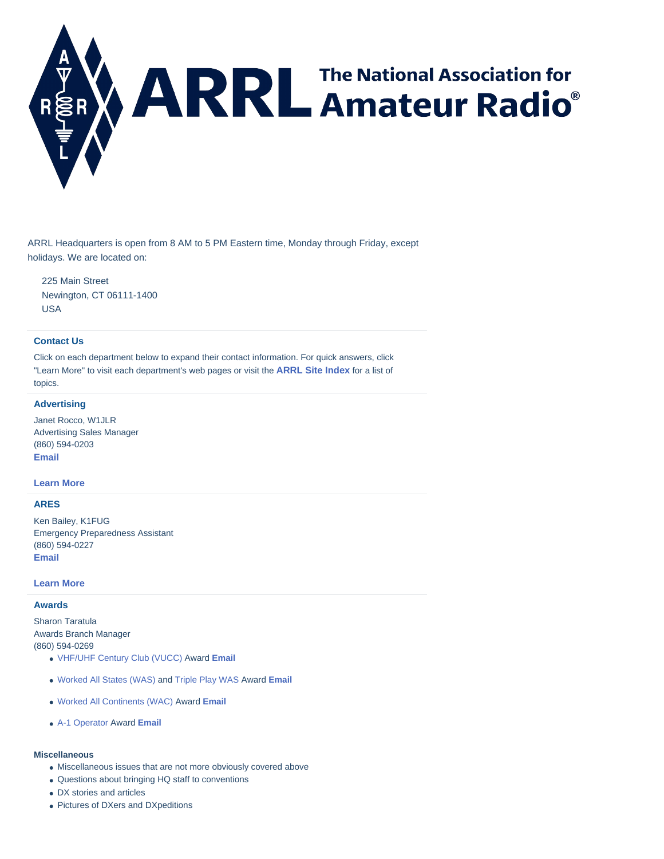<span id="page-0-0"></span>

ARRL Headquarters is open from 8 AM to 5 PM Eastern time, Monday through Friday, except holidays. We are located on:

225 Main Street Newington, CT 06111-1400 USA

### **[Contact Us](#page-0-0)**

Click on each department below to expand their contact information. For quick answers, click "Learn More" to visit each department's web pages or visit the **ARRL [Site Index](http://www.arrl.org/site-index)** for a list of topics.

## **[Advertising](#page-0-0)**

Janet Rocco, W1JLR Advertising Sales Manager (860) 594-0203 **[Email](mailto:ads@arrl.org)**

#### **[Learn More](http://www.arrl.org/advertising-and-other-business-opportunities)**

#### **[ARES](#page-0-0)**

Ken Bailey, K1FUG Emergency Preparedness Assistant (860) 594-0227 **[Email](mailto:kbailey@arrl.org)**

#### **[Learn More](http://www.arrl.org/ares)**

#### **[Awards](#page-0-0)**

Sharon Taratula Awards Branch Manager (860) 594-0269

- VHF/UHF [Century Club \(VUCC\)](http://www.arrl.org/vucc) Award **[Email](mailto:VUCC@arrl.org)**
- [Worked All States \(WAS\)](http://www.arrl.org/was) and [Triple Play WAS](http://www.arrl.org/triple-play) Award **[Email](mailto:WAS@arrl.org)**
- [Worked All Continents \(WAC\)](http://www.arrl.org/wac) Award **[Email](mailto:WAC@arrl.org)**
- [A-1 Operator](http://www.arrl.org/a-1-op) Award **[Email](mailto:A1ops.nom@arrl.org)**

#### **Miscellaneous**

- Miscellaneous issues that are not more obviously covered above
- Questions about bringing HQ staff to conventions
- DX stories and articles
- Pictures of DXers and DXpeditions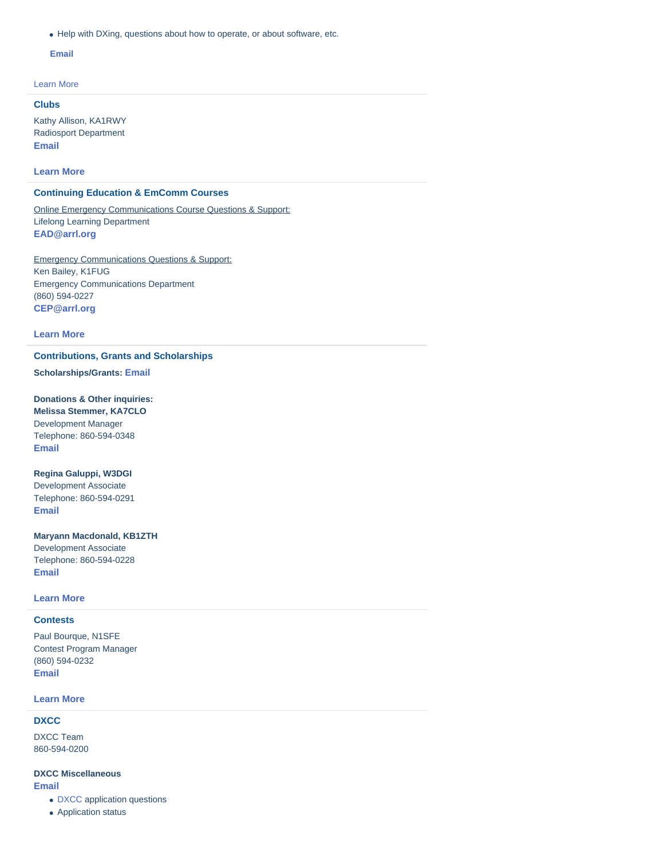Help with DXing, questions about how to operate, or about software, etc.

#### **[Email](mailto:dxccadmin@arrl.org)**

[Learn More](http://www.arrl.org/awards)

# **[Clubs](#page-0-0)**

Kathy Allison, KA1RWY Radiosport Department **[Email](mailto:clubs@arrl.org)**

**[Learn More](http://www.arrl.org/clubs)**

# **[Continuing Education & EmComm Courses](#page-0-0)**

Online Emergency Communications Course Questions & Support: Lifelong Learning Department **[EAD@arrl.org](mailto:EAD@arrl.org)**

Emergency Communications Questions & Support: Ken Bailey, K1FUG Emergency Communications Department (860) 594-0227 **[CEP@arrl.org](mailto:cep@arrl.org?subject=Continuing%20Education)**

#### **[Learn More](http://www.arrl.org/courses-training)**

#### **[Contributions, Grants and Scholarships](#page-0-0)**

**Scholarships/Grants: [Email](mailto:Foundation@arrl.org)**

# **Donations & Other inquiries:**

**Melissa Stemmer, KA7CLO** Development Manager Telephone: 860-594-0348 **[Email](mailto:mstemmer@arrl.org)**

#### **Regina Galuppi, W3DGI**

Development Associate Telephone: 860-594-0291 **[Email](mailto:rgaluppi@arrl.org)**

# **Maryann Macdonald, KB1ZTH**

Development Associate Telephone: 860-594-0228 **[Email](mailto:mmacdonald@arrl.org)**

## **[Learn More](http://www.arrl.org/donate-to-arrl)**

# **[Contests](#page-0-0)**

Paul Bourque, N1SFE Contest Program Manager (860) 594-0232 **[Email](mailto:contests@arrl.org)**

#### **[Learn More](http://www.arrl.org/contests)**

#### **[DXCC](#page-0-0)**

DXCC Team 860-594-0200

#### **DXCC Miscellaneous [Email](mailto:DXCCAdmin@arrl.org)**

- [DXCC](http://www.arrl.org/dxcc) application questions
- Application status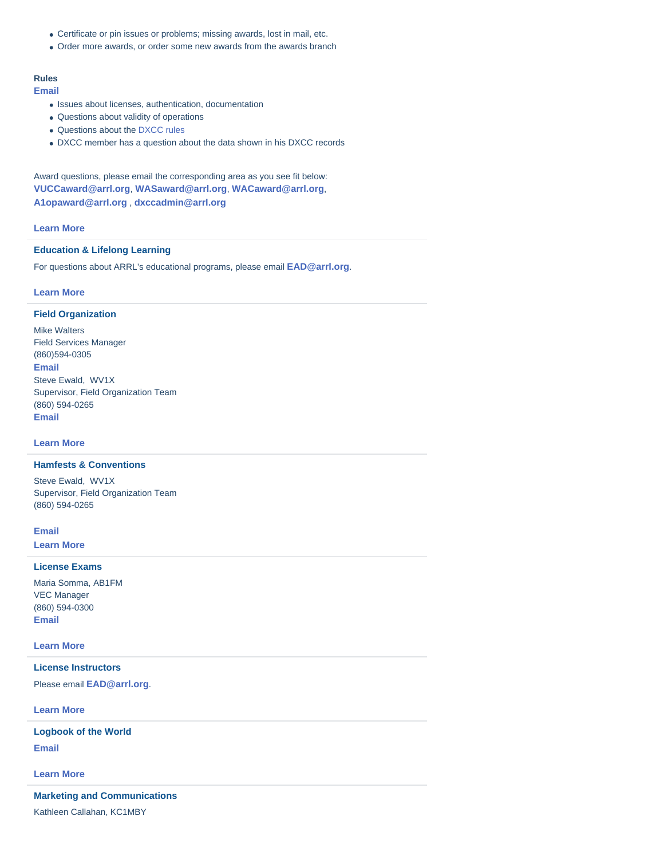- Certificate or pin issues or problems; missing awards, lost in mail, etc.
- Order more awards, or order some new awards from the awards branch

# **Rules**

**[Email](mailto:DXCCRules@arrl.org)**

- Issues about licenses, authentication, documentation
- Questions about validity of operations
- Questions about th[e DXCC rules](http://www.arrl.org/dxcc-rules)
- DXCC member has a question about the data shown in his DXCC records

Award questions, please email the corresponding area as you see fit below: **[VUCCaward@arrl.org](mailto:VUCCaward@arrl.org)**, **[WASaward@arrl.org](mailto:WASaward@arrl.org)**, **[WACaward@arrl.org](mailto:WACaward@arrl.org)**, **[A1opaward@arrl.org](mailto:A1opaward@arrl.org)** , **[dxccadmin@arrl.org](mailto:dxccadmin@arrl.org)**

## **[Learn More](http://www.arrl.org/dxcc)**

# **[Education & Lifelong Learning](#page-0-0)**

For questions about ARRL's educational programs, please email **[EAD@arrl.org](mailto:EAD@arrl.org)**.

# **[Learn More](http://www.arrl.org/licensing-education-training)**

# **[Field Organization](#page-0-0)**

Mike Walters Field Services Manager (860)594-0305 **[Email](mailto:mwalters@arrl.org)** Steve Ewald, WV1X Supervisor, Field Organization Team (860) 594-0265 **[Email](mailto:sewald@arrl.org)**

**[Learn More](http://www.arrl.org/field-organization)**

# **[Hamfests & Conventions](#page-0-0)**

Steve Ewald, WV1X Supervisor, Field Organization Team (860) 594-0265

**[Email](mailto:hamfest@arrl.org) [Learn More](http://www.arrl.org/hamfests-and-conventions-calendar)**

#### **[License Exams](#page-0-0)**

Maria Somma, AB1FM VEC Manager (860) 594-0300 **[Email](mailto:vec@arrl.org)**

# **[Learn More](http://www.arrl.org/find-an-amateur-radio-license-exam-session)**

# **[License Instructors](#page-0-0)**

Please email **[EAD@arrl.org](mailto:EAD@arrl.org)**.

**[Learn More](http://www.arrl.org/volunteer-instructors-mentors)**

**[Email](mailto:lotw-help@arrl.org) [Logbook of the World](#page-0-0)**

**[Learn More](http://www.arrl.org/logbook-of-the-world)**

#### **[Marketing and Communications](#page-0-0)**

Kathleen Callahan, KC1MBY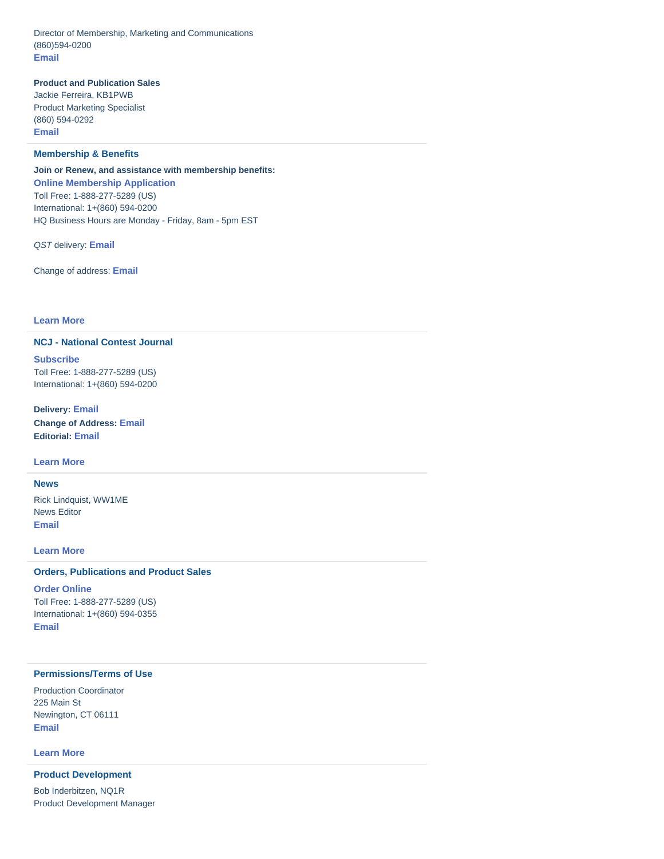Director of Membership, Marketing and Communications (860)594-0200 **[Email](mailto:marketing@arrl.org)**

# **Product and Publication Sales**

Jackie Ferreira, KB1PWB Product Marketing Specialist (860) 594-0292 **[Email](mailto:jferreira@arrl.org)**

## **[Membership & Benefits](#page-0-0)**

**Join or Renew, and assistance with membership benefits: [Online Membership Application](http://www.arrl.org/join)** Toll Free: 1-888-277-5289 (US) International: 1+(860) 594-0200 HQ Business Hours are Monday - Friday, 8am - 5pm EST

*QST* delivery: **[Email](mailto:circulation@arrl.org)**

Change of address: **[Email](mailto:coa@arrl.org)**

# **[Learn More](http://www.arrl.org/member-support)**

# **[NCJ - National Contest Journal](#page-0-0)**

**[Subscribe](https://www.arrl.org/ncj-subscription-form)** Toll Free: 1-888-277-5289 (US) International: 1+(860) 594-0200

**Delivery: [Email](mailto:circulation@arrl.org?subject=NCJ) Change of Address: [Email](mailto:coa@arrl.org) Editorial: [Email](mailto:ncj@arrl.org)**

### **[Learn More](http://www.arrl.org/ncj)**

# **[News](#page-0-0)**

Rick Lindquist, WW1ME News Editor **[Email](mailto:ww1me@arrl.org)**

# **[Learn More](http://www.arrl.org/news-features)**

## **[Orders, Publications and Product Sales](#page-0-0)**

**[Order Online](http://www.arrl.org/shop)** Toll Free: 1-888-277-5289 (US) International: 1+(860) 594-0355 **[Email](mailto:pubsales@arrl.org?subject=Order)**

# **[Permissions/Terms of Use](#page-0-0)**

Production Coordinator 225 Main St Newington, CT 06111 **[Email](mailto:permission@arrl.org)**

**[Learn More](http://www.arrl.org/copyright)**

# **[Product Development](#page-0-0)**

Bob Inderbitzen, NQ1R Product Development Manager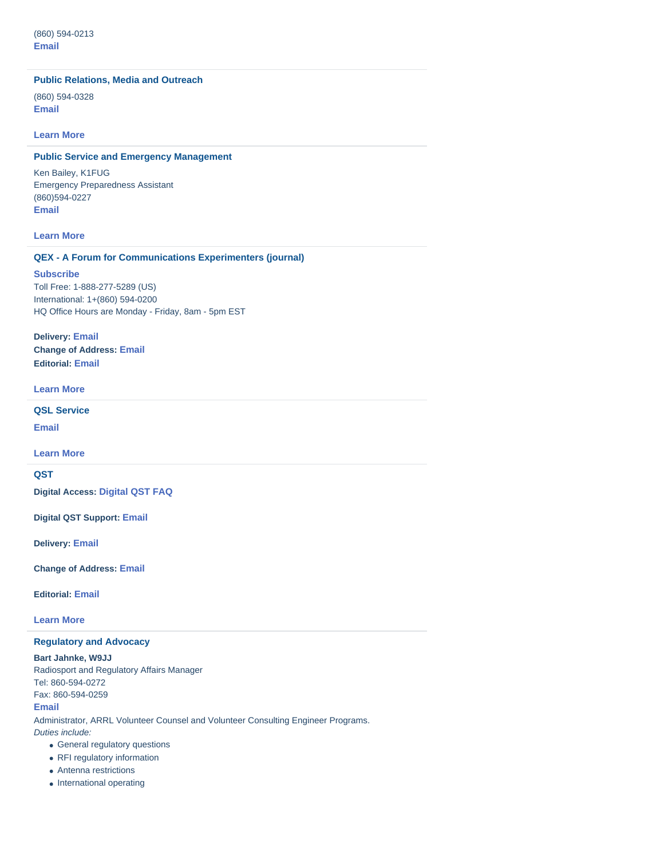# **[Public Relations, Media and Outreach](#page-0-0)**

(860) 594-0328 **[Email](mailto:newsmedia@arrl.org)**

#### **[Learn More](http://www.arrl.org/media-and-public-relations)**

# **[Public Service and Emergency Management](#page-0-0)**

Ken Bailey, K1FUG Emergency Preparedness Assistant (860)594-0227 **[Email](mailto:kbailey@arrl.org)**

# **[Learn](http://www.arrl.org/public-service) More**

#### **[QEX - A Forum for Communications Experimenters \(journal\)](#page-0-0)**

## **[Subscribe](https://www.arrl.org/qex-subscription-form)**

Toll Free: 1-888-277-5289 (US) International: 1+(860) 594-0200 HQ Office Hours are Monday - Friday, 8am - 5pm EST

**Delivery: [Email](mailto:circulation@arrl.org?subject=QEX) Change of Address: [Email](mailto:coa@arrl.org) Editorial: [Email](mailto:qex@arrl.org)**

# **[Learn More](http://www.arrl.org/qex)**

**[QSL Service](#page-0-0)**

**[Email](mailto:buro@arrl.org)**

**[Learn More](http://www.arrl.org/qsl-service)**

# **[QST](#page-0-0)**

**Digital Access: [Digital QST](http://www.arrl.org/digital-qst-faq) FAQ**

**Digital QST Support: [Email](mailto:digitalQST@arrl.org?subject=digital%20QST%20support&body=Device%20(Make)%0A%0AModel%20No.%0A%0AOperating%20System%20(OS)%0A%0ABrowser%20type%20and%20Version%0A%0AProblem%20or%20Question...)**

**Delivery: [Email](mailto:circulation@arrl.org)**

**Change of Address: [Email](mailto:coa@arrl.org)**

**Editorial: [Email](mailto:qst@arrl.org)**

**[Learn More](http://www.arrl.org/qst)**

# **[Regulatory and Advocacy](#page-0-0)**

**Bart Jahnke, W9JJ**

Radiosport and Regulatory Affairs Manager Tel: 860-594-0272 Fax: 860-594-0259 **[Email](mailto:reginfo@arrl.org)** Administrator, ARRL Volunteer Counsel and Volunteer Consulting Engineer Programs. *Duties include:* General regulatory questions

- RFI regulatory information
- Antenna restrictions
- International operating